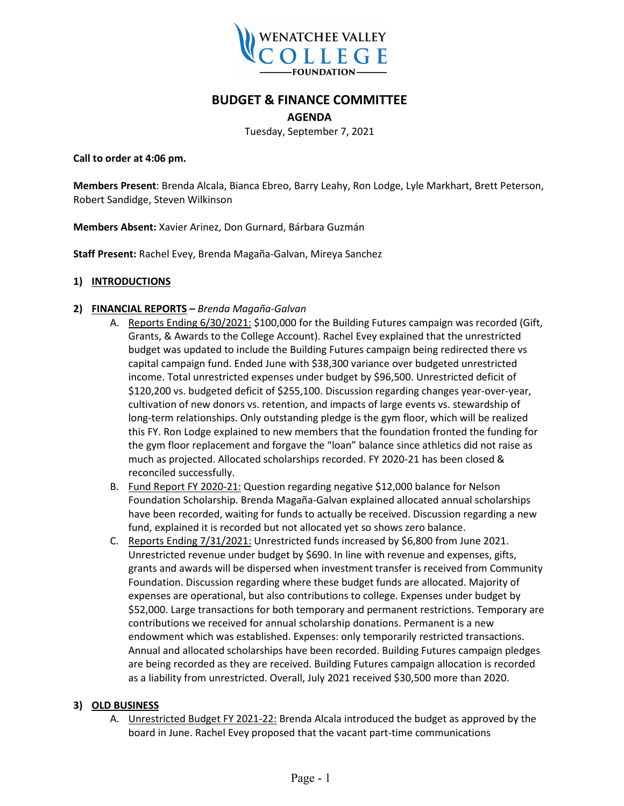

# **BUDGET & FINANCE COMMITTEE**

**AGENDA**

Tuesday, September 7, 2021

**Call to order at 4:06 pm.**

**Members Present**: Brenda Alcala, Bianca Ebreo, Barry Leahy, Ron Lodge, Lyle Markhart, Brett Peterson, Robert Sandidge, Steven Wilkinson

**Members Absent:** Xavier Arinez, Don Gurnard, Bárbara Guzmán

**Staff Present:** Rachel Evey, Brenda Magaña-Galvan, Mireya Sanchez

#### **1) INTRODUCTIONS**

- **2) FINANCIAL REPORTS –** *Brenda Magaña-Galvan*
	- A. Reports Ending 6/30/2021: \$100,000 for the Building Futures campaign was recorded (Gift, Grants, & Awards to the College Account). Rachel Evey explained that the unrestricted budget was updated to include the Building Futures campaign being redirected there vs capital campaign fund. Ended June with \$38,300 variance over budgeted unrestricted income. Total unrestricted expenses under budget by \$96,500. Unrestricted deficit of \$120,200 vs. budgeted deficit of \$255,100. Discussion regarding changes year-over-year, cultivation of new donors vs. retention, and impacts of large events vs. stewardship of long-term relationships. Only outstanding pledge is the gym floor, which will be realized this FY. Ron Lodge explained to new members that the foundation fronted the funding for the gym floor replacement and forgave the "loan" balance since athletics did not raise as much as projected. Allocated scholarships recorded. FY 2020-21 has been closed & reconciled successfully.
	- B. Fund Report FY 2020-21: Question regarding negative \$12,000 balance for Nelson Foundation Scholarship. Brenda Magaña-Galvan explained allocated annual scholarships have been recorded, waiting for funds to actually be received. Discussion regarding a new fund, explained it is recorded but not allocated yet so shows zero balance.
	- C. Reports Ending 7/31/2021: Unrestricted funds increased by \$6,800 from June 2021. Unrestricted revenue under budget by \$690. In line with revenue and expenses, gifts, grants and awards will be dispersed when investment transfer is received from Community Foundation. Discussion regarding where these budget funds are allocated. Majority of expenses are operational, but also contributions to college. Expenses under budget by \$52,000. Large transactions for both temporary and permanent restrictions. Temporary are contributions we received for annual scholarship donations. Permanent is a new endowment which was established. Expenses: only temporarily restricted transactions. Annual and allocated scholarships have been recorded. Building Futures campaign pledges are being recorded as they are received. Building Futures campaign allocation is recorded as a liability from unrestricted. Overall, July 2021 received \$30,500 more than 2020.

#### **3) OLD BUSINESS**

A. Unrestricted Budget FY 2021-22: Brenda Alcala introduced the budget as approved by the board in June. Rachel Evey proposed that the vacant part-time communications